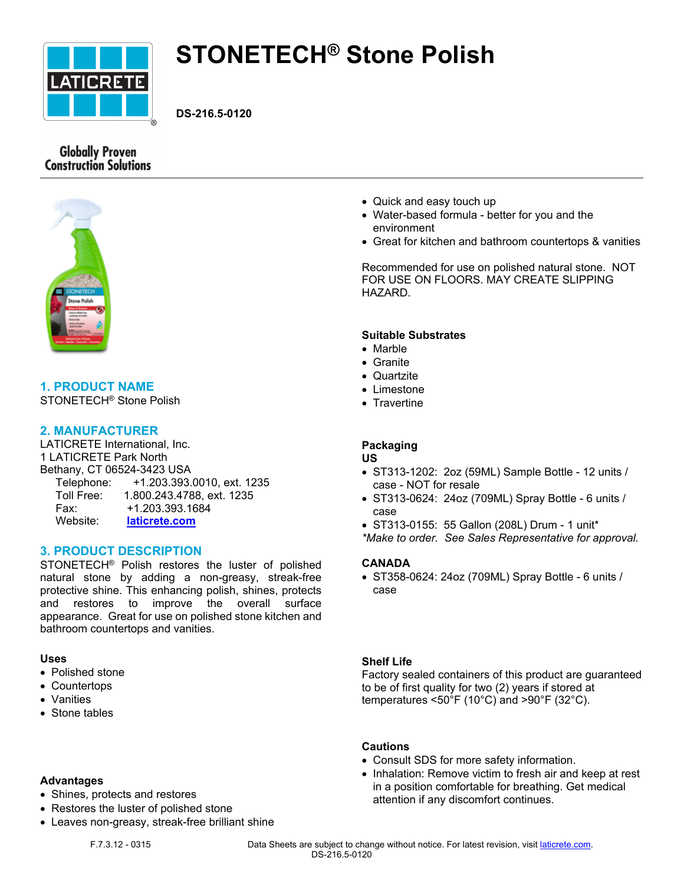

# **STONETECH® Stone Polish**

**DS-216.5-0120**

# **Globally Proven Construction Solutions**



# **1. PRODUCT NAME**

STONETECH® Stone Polish

# **2. MANUFACTURER**

LATICRETE International, Inc. 1 LATICRETE Park North Bethany, CT 06524-3423 USA Telephone: +1.203.393.0010, ext. 1235 Toll Free: 1.800.243.4788, ext. 1235 Fax: +1.203.393.1684 Website: **[laticrete.com](https://laticrete.com/)**

# **3. PRODUCT DESCRIPTION**

STONETECH® Polish restores the luster of polished natural stone by adding a non-greasy, streak-free protective shine. This enhancing polish, shines, protects and restores to improve the overall surface appearance. Great for use on polished stone kitchen and bathroom countertops and vanities.

# **Uses**

- Polished stone
- Countertops
- Vanities
- Stone tables

## **Advantages**

- Shines, protects and restores
- Restores the luster of polished stone
- Leaves non-greasy, streak-free brilliant shine
	-
- Quick and easy touch up
- Water-based formula better for you and the environment
- Great for kitchen and bathroom countertops & vanities

Recommended for use on polished natural stone. NOT FOR USE ON FLOORS. MAY CREATE SLIPPING HAZARD.

# **Suitable Substrates**

- Marble
- Granite
- Quartzite
- Limestone
- Travertine

#### **Packaging US**

- ST313-1202: 2oz (59ML) Sample Bottle 12 units / case - NOT for resale
- ST313-0624: 24oz (709ML) Spray Bottle 6 units / case
- ST313-0155: 55 Gallon (208L) Drum 1 unit\*
- *\*Make to order. See Sales Representative for approval.*

#### **CANADA**

 ST358-0624: 24oz (709ML) Spray Bottle - 6 units / case

# **Shelf Life**

Factory sealed containers of this product are guaranteed to be of first quality for two (2) years if stored at temperatures <50°F (10°C) and >90°F (32°C).

# **Cautions**

- Consult SDS for more safety information.
- Inhalation: Remove victim to fresh air and keep at rest in a position comfortable for breathing. Get medical attention if any discomfort continues.